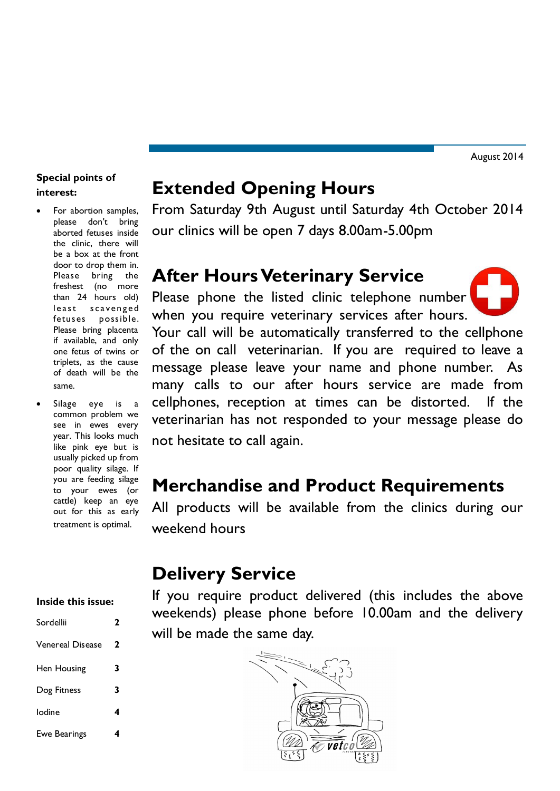# **Special points of interest:**

- For abortion samples, please don't bring aborted fetuses inside the clinic, there will be a box at the front door to drop them in. Please bring the freshest (no more than 24 hours old) least scavenged fetuses possible. Please bring placenta if available, and only one fetus of twins or triplets, as the cause of death will be the same.
- Silage eye is a common problem we see in ewes every year. This looks much like pink eye but is usually picked up from poor quality silage. If you are feeding silage to your ewes (or cattle) keep an eye out for this as early treatment is optimal.

#### **Inside this issue:**

| Sordellii        | 2 |
|------------------|---|
| Venereal Disease | 2 |
| Hen Housing      | 3 |
| Dog Fitness      | 3 |
| lodine           | 4 |
| Ewe Bearings     |   |

# **Extended Opening Hours**

From Saturday 9th August until Saturday 4th October 2014 our clinics will be open 7 days 8.00am-5.00pm

# **After Hours Veterinary Service**

Please phone the listed clinic telephone number when you require veterinary services after hours. Your call will be automatically transferred to the cellphone of the on call veterinarian. If you are required to leave a message please leave your name and phone number. As many calls to our after hours service are made from cellphones, reception at times can be distorted. If the veterinarian has not responded to your message please do not hesitate to call again.

# **Merchandise and Product Requirements**

All products will be available from the clinics during our weekend hours

# **Delivery Service**

If you require product delivered (this includes the above weekends) please phone before 10.00am and the delivery will be made the same day.

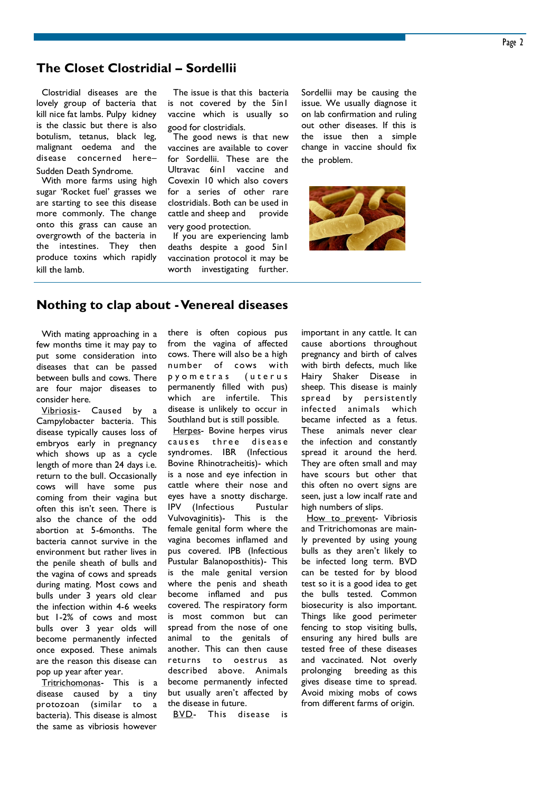### **The Closet Clostridial – Sordellii**

Clostridial diseases are the lovely group of bacteria that kill nice fat lambs. Pulpy kidney is the classic but there is also botulism, tetanus, black leg, malignant oedema and the disease concerned here– Sudden Death Syndrome.

With more farms using high sugar 'Rocket fuel' grasses we are starting to see this disease more commonly. The change onto this grass can cause an overgrowth of the bacteria in the intestines. They then produce toxins which rapidly kill the lamb.

The issue is that this bacteria is not covered by the 5in1 vaccine which is usually so good for clostridials.

The good news is that new vaccines are available to cover for Sordellii. These are the Ultravac 6in1 vaccine and Covexin 10 which also covers for a series of other rare clostridials. Both can be used in cattle and sheep and provide very good protection.

If you are experiencing lamb deaths despite a good 5in1 vaccination protocol it may be worth investigating further. Sordellii may be causing the issue. We usually diagnose it on lab confirmation and ruling out other diseases. If this is the issue then a simple change in vaccine should fix the problem.



#### **Nothing to clap about -Venereal diseases**

With mating approaching in a few months time it may pay to put some consideration into diseases that can be passed between bulls and cows. There are four major diseases to consider here.

Vibriosis- Caused by a Campylobacter bacteria. This disease typically causes loss of embryos early in pregnancy which shows up as a cycle length of more than 24 days i.e. return to the bull. Occasionally cows will have some pus coming from their vagina but often this isn't seen. There is also the chance of the odd abortion at 5-6months. The bacteria cannot survive in the environment but rather lives in the penile sheath of bulls and the vagina of cows and spreads during mating. Most cows and bulls under 3 years old clear the infection within 4-6 weeks but 1-2% of cows and most bulls over 3 year olds will become permanently infected once exposed. These animals are the reason this disease can pop up year after year.

Tritrichomonas- This is a disease caused by a tiny protozoan (similar to a bacteria). This disease is almost the same as vibriosis however

there is often copious pus from the vagina of affected cows. There will also be a high number of cows with p y o m e t r a s ( u t e r u s permanently filled with pus) which are infertile. This disease is unlikely to occur in Southland but is still possible.

Herpes- Bovine herpes virus causes three disease syndromes. IBR (Infectious Bovine Rhinotracheitis)- which is a nose and eye infection in cattle where their nose and eyes have a snotty discharge. IPV (Infectious Pustular Vulvovaginitis)- This is the female genital form where the vagina becomes inflamed and pus covered. IPB (Infectious Pustular Balanoposthitis)- This is the male genital version where the penis and sheath become inflamed and pus covered. The respiratory form is most common but can spread from the nose of one animal to the genitals of another. This can then cause returns to oestrus as described above. Animals become permanently infected but usually aren't affected by the disease in future.

BVD- This disease is

important in any cattle. It can cause abortions throughout pregnancy and birth of calves with birth defects, much like Hairy Shaker Disease in sheep. This disease is mainly spread by persistently infected animals which became infected as a fetus. These animals never clear the infection and constantly spread it around the herd. They are often small and may have scours but other that this often no overt signs are seen, just a low incalf rate and high numbers of slips.

How to prevent- Vibriosis and Tritrichomonas are mainly prevented by using young bulls as they aren't likely to be infected long term. BVD can be tested for by blood test so it is a good idea to get the bulls tested. Common biosecurity is also important. Things like good perimeter fencing to stop visiting bulls, ensuring any hired bulls are tested free of these diseases and vaccinated. Not overly prolonging breeding as this gives disease time to spread. Avoid mixing mobs of cows from different farms of origin.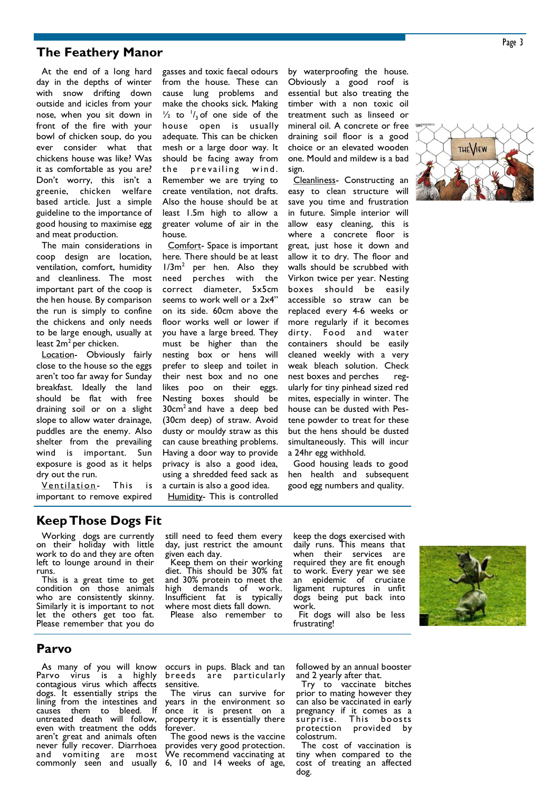### **The Feathery Manor**

At the end of a long hard day in the depths of winter with snow drifting down outside and icicles from your nose, when you sit down in front of the fire with your bowl of chicken soup, do you ever consider what that chickens house was like? Was it as comfortable as you are? Don't worry, this isn't a greenie, chicken welfare based article. Just a simple guideline to the importance of good housing to maximise egg and meat production.

The main considerations in coop design are location, ventilation, comfort, humidity and cleanliness. The most important part of the coop is the hen house. By comparison the run is simply to confine the chickens and only needs to be large enough, usually at least  $2m^2$  per chicken.

Location- Obviously fairly close to the house so the eggs aren't too far away for Sunday breakfast. Ideally the land should be flat with free draining soil or on a slight slope to allow water drainage, puddles are the enemy. Also shelter from the prevailing wind is important. Sun exposure is good as it helps dry out the run.

Ventilation- This is important to remove expired gasses and toxic faecal odours from the house. These can cause lung problems and make the chooks sick. Making  $\frac{1}{2}$  to  $\frac{1}{3}$  of one side of the house open is usually adequate. This can be chicken mesh or a large door way. It should be facing away from the prevailing wind. Remember we are trying to create ventilation, not drafts. Also the house should be at least 1.5m high to allow a greater volume of air in the house.

Comfort- Space is important here. There should be at least 1/3m<sup>2</sup> per hen. Also they need perches with the correct diameter, 5x5cm seems to work well or a 2x4" on its side. 60cm above the floor works well or lower if you have a large breed. They must be higher than the nesting box or hens will prefer to sleep and toilet in their nest box and no one likes poo on their eggs. Nesting boxes should be 30cm<sup>2</sup> and have a deep bed (30cm deep) of straw. Avoid dusty or mouldy straw as this can cause breathing problems. Having a door way to provide privacy is also a good idea, using a shredded feed sack as a curtain is also a good idea.

Humidity- This is controlled

by waterproofing the house. Obviously a good roof is essential but also treating the timber with a non toxic oil treatment such as linseed or mineral oil. A concrete or free draining soil floor is a good choice or an elevated wooden one. Mould and mildew is a bad sign.

Cleanliness- Constructing an easy to clean structure will save you time and frustration in future. Simple interior will allow easy cleaning, this is where a concrete floor is great, just hose it down and allow it to dry. The floor and walls should be scrubbed with Virkon twice per year. Nesting boxes should be easily accessible so straw can be replaced every 4-6 weeks or more regularly if it becomes dirty. Food and water containers should be easily cleaned weekly with a very weak bleach solution. Check nest boxes and perches regularly for tiny pinhead sized red mites, especially in winter. The house can be dusted with Pestene powder to treat for these but the hens should be dusted simultaneously. This will incur a 24hr egg withhold.

Good housing leads to good hen health and subsequent good egg numbers and quality.



### **Keep Those Dogs Fit**

Working dogs are currently on their holiday with little work to do and they are often left to lounge around in their runs.

This is a great time to get condition on those animals who are consistently skinny. Similarly it is important to not let the others get too fat. Please remember that you do

still need to feed them every day, just restrict the amount given each day.

Keep them on their working diet. This should be 30% fat and 30% protein to meet the high demands of work. Insufficient fat is typically where most diets fall down. Please also remember to

keep the dogs exercised with daily runs. This means that when their services are required they are fit enough to work. Every year we see an epidemic of cruciate ligament ruptures in unfit dogs being put back into work.

Fit dogs will also be less frustrating!



#### **Parvo**

As many of you will know Parvo virus is a highly contagious virus which affects dogs. It essentially strips the lining from the intestines and causes them to bleed. If untreated death will follow, even with treatment the odds aren't great and animals often never fully recover. Diarrhoea and vomiting are most commonly seen and usually

occurs in pups. Black and tan are particularly sensitive.

The virus can survive for years in the environment so once it is present on a property it is essentially there forever.

The good news is the vaccine provides very good protection. We recommend vaccinating at 6, 10 and 14 weeks of age,

followed by an annual booster and 2 yearly after that.

Try to vaccinate bitches prior to mating however they can also be vaccinated in early pregnancy if it comes as a surprise. This boosts protection provided by colostrum.

The cost of vaccination is tiny when compared to the cost of treating an affected dog.